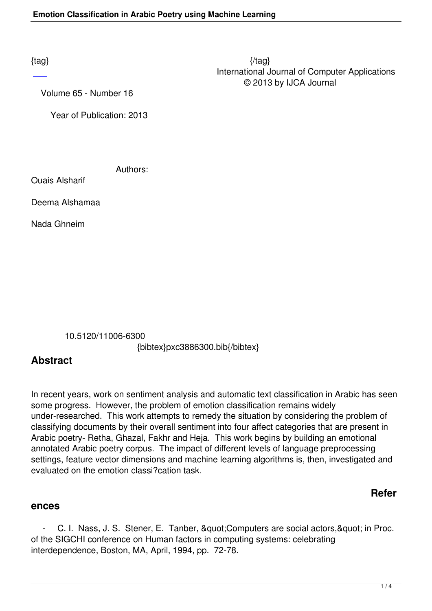$\{tag\}$  International Journal of Computer Applications © 2013 by IJCA Journal

Volume 65 - Number 16

Year of Publication: 2013

Authors:

Ouais Alsharif

Deema Alshamaa

Nada Ghneim

10.5120/11006-6300

{bibtex}pxc3886300.bib{/bibtex}

## **Abstract**

In recent years, work on sentiment analysis and automatic text classification in Arabic has seen some progress. However, the problem of emotion classification remains widely under-researched. This work attempts to remedy the situation by considering the problem of classifying documents by their overall sentiment into four affect categories that are present in Arabic poetry- Retha, Ghazal, Fakhr and Heja. This work begins by building an emotional annotated Arabic poetry corpus. The impact of different levels of language preprocessing settings, feature vector dimensions and machine learning algorithms is, then, investigated and evaluated on the emotion classi?cation task.

### **Refer**

#### **ences**

- C. I. Nass, J. S. Stener, E. Tanber, & quot; Computers are social actors, & quot; in Proc. of the SIGCHI conference on Human factors in computing systems: celebrating interdependence, Boston, MA, April, 1994, pp. 72-78.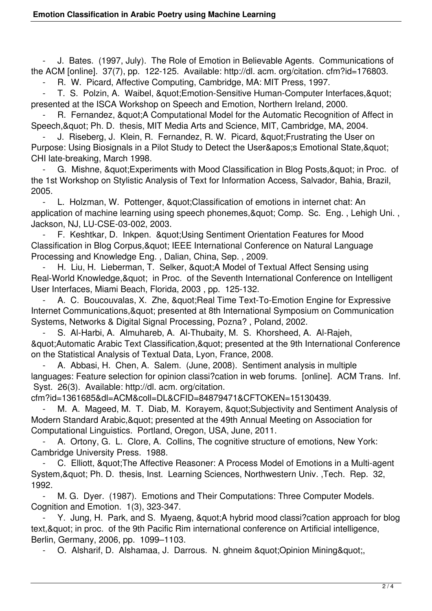J. Bates. (1997, July). The Role of Emotion in Believable Agents. Communications of the ACM [online]. 37(7), pp. 122-125. Available: http://dl. acm. org/citation. cfm?id=176803.

R. W. Picard, Affective Computing, Cambridge, MA: MIT Press, 1997.

T. S. Polzin, A. Waibel, & quot: Emotion-Sensitive Human-Computer Interfaces, & quot: presented at the ISCA Workshop on Speech and Emotion, Northern Ireland, 2000.

R. Fernandez, & quot; A Computational Model for the Automatic Recognition of Affect in Speech, & quot; Ph. D. thesis, MIT Media Arts and Science, MIT, Cambridge, MA, 2004.

J. Riseberg, J. Klein, R. Fernandez, R. W. Picard, " Frustrating the User on Purpose: Using Biosignals in a Pilot Study to Detect the User&apos: Emotional State, & quot: CHI late-breaking, March 1998.

G. Mishne, " Experiments with Mood Classification in Blog Posts, " in Proc. of the 1st Workshop on Stylistic Analysis of Text for Information Access, Salvador, Bahia, Brazil, 2005.

L. Holzman, W. Pottenger, & quot; Classification of emotions in internet chat: An application of machine learning using speech phonemes, & quot; Comp. Sc. Eng., Lehigh Uni., Jackson, NJ, LU-CSE-03-002, 2003.

F. Keshtkar, D. Inkpen. & quot; Using Sentiment Orientation Features for Mood Classification in Blog Corpus, & quot; IEEE International Conference on Natural Language Processing and Knowledge Eng. , Dalian, China, Sep. , 2009.

H. Liu, H. Lieberman, T. Selker, & auot: A Model of Textual Affect Sensing using Real-World Knowledge, & quot; in Proc. of the Seventh International Conference on Intelligent User Interfaces, Miami Beach, Florida, 2003 , pp. 125-132.

A. C. Boucouvalas, X. Zhe, " Real Time Text-To-Emotion Engine for Expressive Internet Communications, & quot; presented at 8th International Symposium on Communication Systems, Networks & Digital Signal Processing, Pozna? , Poland, 2002.

 - S. Al-Harbi, A. Almuhareb, A. Al-Thubaity, M. S. Khorsheed, A. Al-Rajeh, & quot; Automatic Arabic Text Classification, & quot; presented at the 9th International Conference on the Statistical Analysis of Textual Data, Lyon, France, 2008.

A. Abbasi, H. Chen, A. Salem. (June, 2008). Sentiment analysis in multiple languages: Feature selection for opinion classi?cation in web forums. [online]. ACM Trans. Inf. Syst. 26(3). Available: http://dl. acm. org/citation.

cfm?id=1361685&dl=ACM&coll=DL&CFID=84879471&CFTOKEN=15130439.

M. A. Mageed, M. T. Diab, M. Korayem, & quot: Subjectivity and Sentiment Analysis of Modern Standard Arabic, & quot; presented at the 49th Annual Meeting on Association for Computational Linguistics. Portland, Oregon, USA, June, 2011.

A. Ortony, G. L. Clore, A. Collins, The cognitive structure of emotions, New York: Cambridge University Press. 1988.

C. Elliott, " The Affective Reasoner: A Process Model of Emotions in a Multi-agent System, & quot; Ph. D. thesis, Inst. Learning Sciences, Northwestern Univ. , Tech. Rep. 32, 1992.

M. G. Dyer. (1987). Emotions and Their Computations: Three Computer Models. Cognition and Emotion. 1(3), 323-347.

Y. Jung, H. Park, and S. Myaeng, & quot; A hybrid mood classi?cation approach for blog text, & quot: in proc. of the 9th Pacific Rim international conference on Artificial intelligence, Berlin, Germany, 2006, pp. 1099–1103.

O. Alsharif, D. Alshamaa, J. Darrous. N. ghneim & quot; Opinion Mining & quot;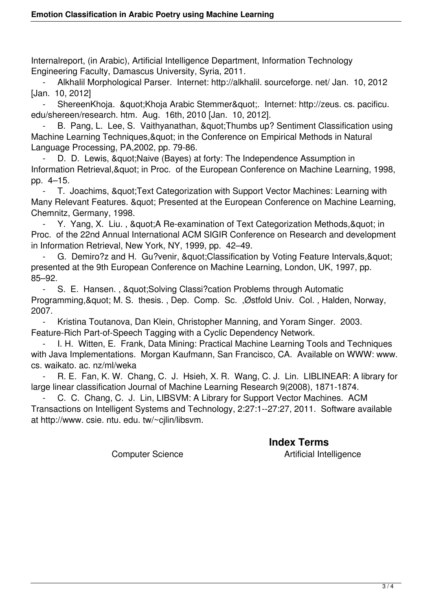Internalreport, (in Arabic), Artificial Intelligence Department, Information Technology Engineering Faculty, Damascus University, Syria, 2011.

 - Alkhalil Morphological Parser. Internet: http://alkhalil. sourceforge. net/ Jan. 10, 2012 [Jan. 10, 2012]

ShereenKhoja. & quot; Khoja Arabic Stemmer & quot;. Internet: http://zeus. cs. pacificu. edu/shereen/research. htm. Aug. 16th, 2010 [Jan. 10, 2012].

B. Pang, L. Lee, S. Vaithyanathan, & quot; Thumbs up? Sentiment Classification using Machine Learning Techniques, & quot; in the Conference on Empirical Methods in Natural Language Processing, PA,2002, pp. 79-86.

D. D. Lewis, & quot; Naive (Bayes) at forty: The Independence Assumption in Information Retrieval, & quot; in Proc. of the European Conference on Machine Learning, 1998, pp. 4–15.

T. Joachims, & quot; Text Categorization with Support Vector Machines: Learning with Many Relevant Features. & quot; Presented at the European Conference on Machine Learning, Chemnitz, Germany, 1998.

Y. Yang, X. Liu., & quot; A Re-examination of Text Categorization Methods, & quot; in Proc. of the 22nd Annual International ACM SIGIR Conference on Research and development in Information Retrieval, New York, NY, 1999, pp. 42–49.

G. Demiro?z and H. Gu?venir, " Classification by Voting Feature Intervals, " presented at the 9th European Conference on Machine Learning, London, UK, 1997, pp. 85–92.

- S. E. Hansen., & quot; Solving Classi? cation Problems through Automatic Programming, & quot; M. S. thesis., Dep. Comp. Sc., Østfold Univ. Col., Halden, Norway, 2007.

 - Kristina Toutanova, Dan Klein, Christopher Manning, and Yoram Singer. 2003. Feature-Rich Part-of-Speech Tagging with a Cyclic Dependency Network.

I. H. Witten, E. Frank, Data Mining: Practical Machine Learning Tools and Techniques with Java Implementations. Morgan Kaufmann, San Francisco, CA. Available on WWW: www. cs. waikato. ac. nz/ml/weka

R. E. Fan, K. W. Chang, C. J. Hsieh, X. R. Wang, C. J. Lin. LIBLINEAR: A library for large linear classification Journal of Machine Learning Research 9(2008), 1871-1874.

C. C. Chang, C. J. Lin, LIBSVM: A Library for Support Vector Machines. ACM Transactions on Intelligent Systems and Technology, 2:27:1--27:27, 2011. Software available at http://www. csie. ntu. edu. tw/~cjlin/libsvm.

## **Index Terms**

Computer Science **Artificial Intelligence**